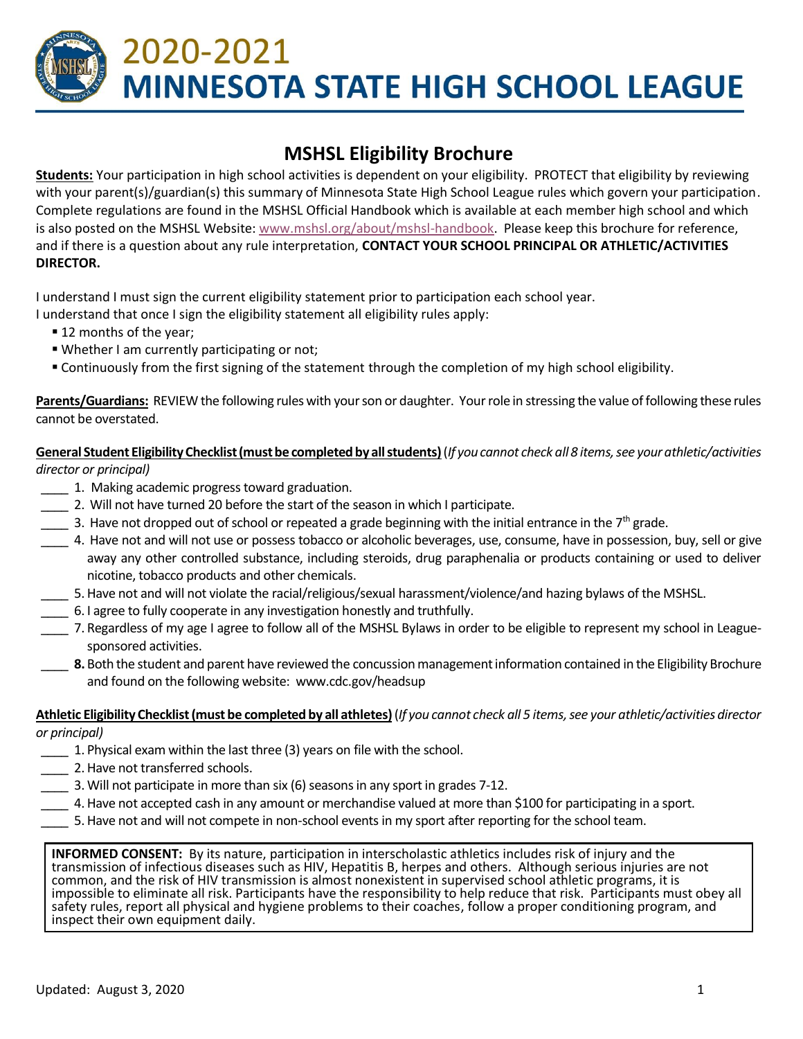# 2020-2021 **MINNESOTA STATE HIGH SCHOOL LEAGUE**

## **MSHSL Eligibility Brochure**

**Students:** Your participation in high school activities is dependent on your eligibility. PROTECT that eligibility by reviewing with your parent(s)/guardian(s) this summary of Minnesota State High School League rules which govern your participation. Complete regulations are found in the MSHSL Official Handbook which is available at each member high school and which is also posted on the MSHSL Website: [www.mshsl.org/about/mshsl-handbook.](http://www.mshsl.org/about/mshsl-handbook) Please keep this brochure for reference, and if there is a question about any rule interpretation, **CONTACT YOUR SCHOOL PRINCIPAL OR ATHLETIC/ACTIVITIES DIRECTOR.**

I understand I must sign the current eligibility statement prior to participation each school year.

I understand that once I sign the eligibility statement all eligibility rules apply:

- 12 months of the year;
- Whether I am currently participating or not;
- Continuously from the first signing of the statement through the completion of my high school eligibility.

**Parents/Guardians:** REVIEW the following rules with your son or daughter. Your role in stressing the value of following these rules cannot be overstated.

**General Student EligibilityChecklist (must be completed by all students)**(*If you cannot check all 8 items, see your athletic/activities director or principal)*

- \_\_\_\_ 1. Making academic progress toward graduation.
- \_\_\_\_ 2. Will not have turned 20 before the start of the season in which I participate.
- 3. Have not dropped out of school or repeated a grade beginning with the initial entrance in the 7<sup>th</sup> grade.
- \_\_\_\_ 4. Have not and will not use or possess tobacco or alcoholic beverages, use, consume, have in possession, buy, sell or give away any other controlled substance, including steroids, drug paraphenalia or products containing or used to deliver nicotine, tobacco products and other chemicals.
- \_\_\_\_ 5.Have not and will not violate the racial/religious/sexual harassment/violence/and hazing bylaws of the MSHSL.
- \_\_\_\_ 6. I agree to fully cooperate in any investigation honestly and truthfully.
- \_\_\_\_ 7. Regardless of my age I agree to follow all of the MSHSL Bylaws in order to be eligible to represent my school in Leaguesponsored activities.
- **8.** Both the student and parent have reviewed the concussion management information contained in the Eligibility Brochure and found on the following website: www.cdc.gov/headsup

#### **Athletic Eligibility Checklist (must be completed by all athletes)**(*If you cannot check all 5 items, see your athletic/activities director or principal)*

- \_\_\_\_ 1. Physical exam within the last three (3) years on file with the school.
- \_\_\_\_ 2.Have not transferred schools.
- \_\_\_\_ 3.Will not participate in more than six (6) seasons in any sport in grades 7-12.
- \_\_\_\_ 4.Have not accepted cash in any amount or merchandise valued at more than \$100 for participating in a sport.
- \_\_\_\_ 5.Have not and will not compete in non-school events in my sport after reporting for the school team.

**INFORMED CONSENT:** By its nature, participation in interscholastic athletics includes risk of injury and the transmission of infectious diseases such as HIV, Hepatitis B, herpes and others. Although serious injuries are not common, and the risk of HIV transmission is almost nonexistent in supervised school athletic programs, it is impossible to eliminate all risk. Participants have the responsibility to help reduce that risk. Participants must obey all safety rules, report all physical and hygiene problems to their coaches, follow a proper conditioning program, and inspect their own equipment daily.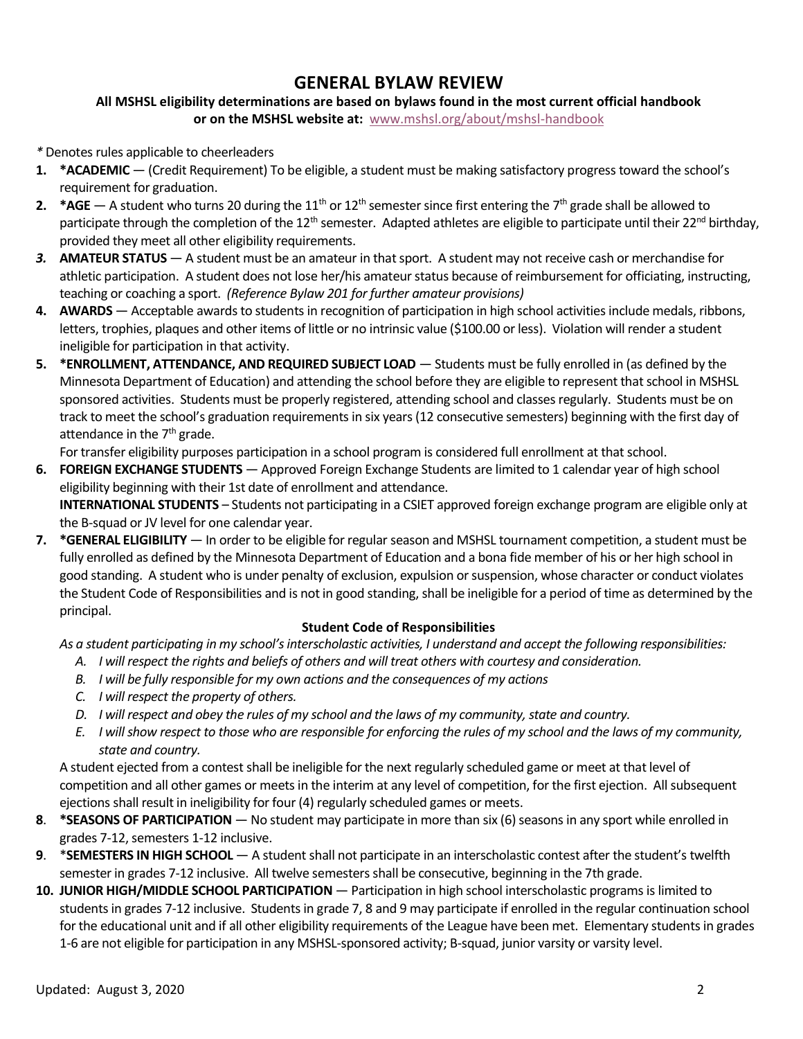## **GENERAL BYLAW REVIEW**

#### **All MSHSL eligibility determinations are based on bylaws found in the most current official handbook or on the MSHSL website at:** [www.mshsl.org/about/mshsl-handbook](http://www.mshsl.org/about/mshsl-handbook)

*\** Denotes rules applicable to cheerleaders

- **1. \*ACADEMIC** (Credit Requirement) To be eligible, a student must be making satisfactory progress toward the school's requirement for graduation.
- **2. \*AGE** A student who turns 20 during the 11<sup>th</sup> or 12<sup>th</sup> semester since first entering the 7<sup>th</sup> grade shall be allowed to participate through the completion of the  $12^{th}$  semester. Adapted athletes are eligible to participate until their 22<sup>nd</sup> birthday, provided they meet all other eligibility requirements.
- *3.* **AMATEUR STATUS** A student must be an amateur in that sport. A student may not receive cash or merchandise for athletic participation. A student does not lose her/his amateur status because of reimbursement for officiating, instructing, teaching or coaching a sport. *(Reference Bylaw 201 for further amateur provisions)*
- **4. AWARDS** Acceptable awards to students in recognition of participation in high school activities include medals, ribbons, letters, trophies, plaques and other items of little or no intrinsic value (\$100.00 or less). Violation will render a student ineligible for participation in that activity.
- **5. \*ENROLLMENT, ATTENDANCE, AND REQUIRED SUBJECT LOAD** Students must be fully enrolled in (as defined by the Minnesota Department of Education) and attending the school before they are eligible to represent that school in MSHSL sponsored activities. Students must be properly registered, attending school and classes regularly. Students must be on track to meet the school's graduation requirements in six years (12 consecutive semesters) beginning with the first day of attendance in the 7<sup>th</sup> grade.

For transfer eligibility purposes participation in a school program is considered full enrollment at that school.

- **6. FOREIGN EXCHANGE STUDENTS** Approved Foreign Exchange Students are limited to 1 calendar year of high school eligibility beginning with their 1st date of enrollment and attendance. **INTERNATIONAL STUDENTS** – Students not participating in a CSIET approved foreign exchange program are eligible only at the B-squad or JV level for one calendar year.
- **7. \*GENERAL ELIGIBILITY** In order to be eligible for regular season and MSHSL tournament competition, a student must be fully enrolled as defined by the Minnesota Department of Education and a bona fide member of his or her high school in good standing. A student who is under penalty of exclusion, expulsion or suspension, whose character or conduct violates the Student Code of Responsibilities and is not in good standing, shall be ineligible for a period of time as determined by the principal.

#### **Student Code of Responsibilities**

*As a student participating in my school's interscholastic activities, I understand and accept the following responsibilities:*

- *A. I will respect the rights and beliefs of others and will treat others with courtesy and consideration.*
- *B. I will be fully responsible for my own actions and the consequences of my actions*
- *C. I will respect the property of others.*
- *D. I will respect and obey the rules of my school and the laws of my community, state and country.*
- *E. I will show respect to those who are responsible for enforcing the rules of my school and the laws of my community, state and country.*

A student ejected from a contest shall be ineligible for the next regularly scheduled game or meet at that level of competition and all other games or meets in the interim at any level of competition, for the first ejection. All subsequent ejections shall result in ineligibility for four (4) regularly scheduled games or meets.

- **8**. **\*SEASONS OF PARTICIPATION** No student may participate in more than six (6) seasons in any sport while enrolled in grades 7-12, semesters 1-12 inclusive.
- **9**. \***SEMESTERS IN HIGH SCHOOL** A student shall not participate in an interscholastic contest after the student's twelfth semester in grades 7-12 inclusive. All twelve semesters shall be consecutive, beginning in the 7th grade.
- **10. JUNIOR HIGH/MIDDLE SCHOOL PARTICIPATION** Participation in high school interscholastic programs is limited to students in grades 7-12 inclusive. Students in grade 7, 8 and 9 may participate if enrolled in the regular continuation school for the educational unit and if all other eligibility requirements of the League have been met. Elementary students in grades 1-6 are not eligible for participation in any MSHSL-sponsored activity; B-squad, junior varsity or varsity level.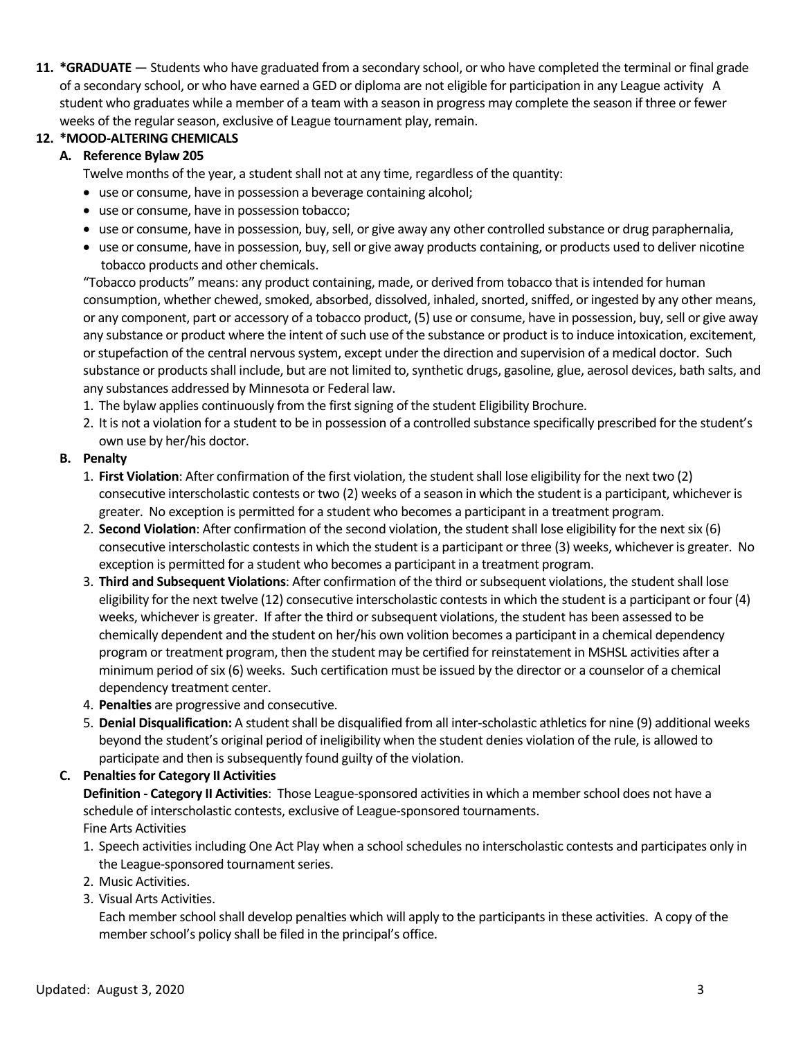**11. \*GRADUATE** — Students who have graduated from a secondary school, or who have completed the terminal or final grade of a secondary school, or who have earned a GED or diploma are not eligible for participation in any League activity A student who graduates while a member of a team with a season in progress may complete the season if three or fewer weeks of the regular season, exclusive of League tournament play, remain.

#### **12. \*MOOD-ALTERING CHEMICALS**

#### **A. Reference Bylaw 205**

Twelve months of the year, a student shall not at any time, regardless of the quantity:

- use or consume, have in possession a beverage containing alcohol;
- use or consume, have in possession tobacco;
- use or consume, have in possession, buy, sell, or give away any other controlled substance or drug paraphernalia,
- use or consume, have in possession, buy, sell or give away products containing, or products used to deliver nicotine tobacco products and other chemicals.

"Tobacco products" means: any product containing, made, or derived from tobacco that is intended for human consumption, whether chewed, smoked, absorbed, dissolved, inhaled, snorted, sniffed, or ingested by any other means, or any component, part or accessory of a tobacco product, (5) use or consume, have in possession, buy, sell or give away any substance or product where the intent of such use of the substance or product is to induce intoxication, excitement, or stupefaction of the central nervous system, except under the direction and supervision of a medical doctor. Such substance or products shall include, but are not limited to, synthetic drugs, gasoline, glue, aerosol devices, bath salts, and any substances addressed by Minnesota or Federal law.

- 1. The bylaw applies continuously from the first signing of the student Eligibility Brochure.
- 2. It is not a violation for a student to be in possession of a controlled substance specifically prescribed for the student's own use by her/his doctor.

#### **B. Penalty**

- 1. **First Violation**: After confirmation of the first violation, the student shall lose eligibility for the next two (2) consecutive interscholastic contests or two (2) weeks of a season in which the student is a participant, whichever is greater. No exception is permitted for a student who becomes a participant in a treatment program.
- 2. **Second Violation**: After confirmation of the second violation, the student shall lose eligibility for the next six (6) consecutive interscholastic contests in which the student is a participant or three (3) weeks, whichever is greater. No exception is permitted for a student who becomes a participant in a treatment program.
- 3. **Third and Subsequent Violations**: After confirmation of the third or subsequent violations, the student shall lose eligibility for the next twelve (12) consecutive interscholastic contests in which the student is a participant or four (4) weeks, whichever is greater. If after the third or subsequent violations, the student has been assessed to be chemically dependent and the student on her/his own volition becomes a participant in a chemical dependency program or treatment program, then the student may be certified for reinstatement in MSHSL activities after a minimum period of six (6) weeks. Such certification must be issued by the director or a counselor of a chemical dependency treatment center.
- 4. **Penalties** are progressive and consecutive.
- 5. **Denial Disqualification:** A student shall be disqualified from all inter-scholastic athletics for nine (9) additional weeks beyond the student's original period of ineligibility when the student denies violation of the rule, is allowed to participate and then is subsequently found guilty of the violation.

#### **C. Penalties for Category II Activities**

**Definition - Category II Activities**: Those League-sponsored activities in which a member school does not have a schedule of interscholastic contests, exclusive of League-sponsored tournaments. Fine Arts Activities

- 1. Speech activities including One Act Play when a school schedules no interscholastic contests and participates only in the League-sponsored tournament series.
- 2. Music Activities.
- 3. Visual Arts Activities.

Each member school shall develop penalties which will apply to the participants in these activities. A copy of the member school's policy shall be filed in the principal's office.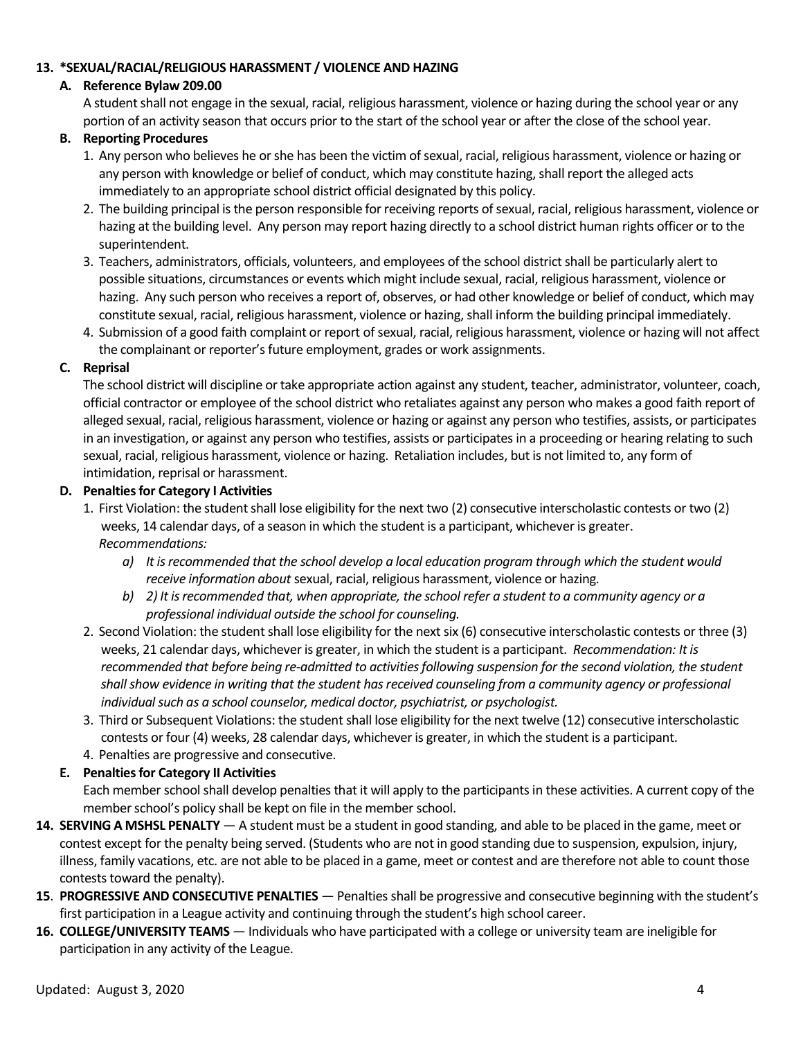#### **13. \*SEXUAL/RACIAL/RELIGIOUS HARASSMENT / VIOLENCE AND HAZING**

#### **A. Reference Bylaw 209.00**

A student shall not engage in the sexual, racial, religious harassment, violence or hazing during the school year or any portion of an activity season that occurs prior to the start of the school year or after the close of the school year.

#### **B. Reporting Procedures**

- 1. Any person who believes he or she has been the victim of sexual, racial, religious harassment, violence or hazing or any person with knowledge or belief of conduct, which may constitute hazing, shall report the alleged acts immediately to an appropriate school district official designated by this policy.
- 2. The building principal is the person responsible for receiving reports of sexual, racial, religious harassment, violence or hazing at the building level. Any person may report hazing directly to a school district human rights officer or to the superintendent.
- 3. Teachers, administrators, officials, volunteers, and employees of the school district shall be particularly alert to possible situations, circumstances or events which might include sexual, racial, religious harassment, violence or hazing. Any such person who receives a report of, observes, or had other knowledge or belief of conduct, which may constitute sexual, racial, religious harassment, violence or hazing, shall inform the building principal immediately.
- 4. Submission of a good faith complaint or report of sexual, racial, religious harassment, violence or hazing will not affect the complainant or reporter's future employment, grades or work assignments.

#### **C. Reprisal**

The school district will discipline or take appropriate action against any student, teacher, administrator, volunteer, coach, official contractor or employee of the school district who retaliates against any person who makes a good faith report of alleged sexual, racial, religious harassment, violence or hazing or against any person who testifies, assists, or participates in an investigation, or against any person who testifies, assists or participates in a proceeding or hearing relating to such sexual, racial, religious harassment, violence or hazing. Retaliation includes, but is not limited to, any form of intimidation, reprisal or harassment.

#### **D. Penalties for Category I Activities**

- 1. First Violation: the student shall lose eligibility for the next two (2) consecutive interscholastic contests or two (2) weeks, 14 calendar days, of a season in which the student is a participant, whichever is greater. *Recommendations:* 
	- *a) It is recommended that the school develop a local education program through which the student would receive information about* sexual, racial, religious harassment, violence or hazing*.*
	- *b) 2) It is recommended that, when appropriate, the school refer a student to a community agency or a professional individual outside the school for counseling.*
- 2. Second Violation: the student shall lose eligibility for the next six (6) consecutive interscholastic contests or three (3) weeks, 21 calendar days, whichever is greater, in which the student is a participant. *Recommendation: It is recommended that before being re-admitted to activities following suspension for the second violation, the student shall show evidence in writing that the student has received counseling from a community agency or professional individual such as a school counselor, medical doctor, psychiatrist, or psychologist.*
- 3. Third or Subsequent Violations: the student shall lose eligibility for the next twelve (12) consecutive interscholastic contests or four (4) weeks, 28 calendar days, whichever is greater, in which the student is a participant.
- 4. Penalties are progressive and consecutive.

#### **E. Penalties for Category II Activities**

Each member school shall develop penalties that it will apply to the participants in these activities. A current copy of the member school's policy shall be kept on file in the member school.

- **14. SERVING A MSHSL PENALTY** A student must be a student in good standing, and able to be placed in the game, meet or contest except for the penalty being served. (Students who are not in good standing due to suspension, expulsion, injury, illness, family vacations, etc. are not able to be placed in a game, meet or contest and are therefore not able to count those contests toward the penalty).
- **15**. **PROGRESSIVE AND CONSECUTIVE PENALTIES** Penalties shall be progressive and consecutive beginning with the student's first participation in a League activity and continuing through the student's high school career.
- **16. COLLEGE/UNIVERSITY TEAMS** Individuals who have participated with a college or university team are ineligible for participation in any activity of the League.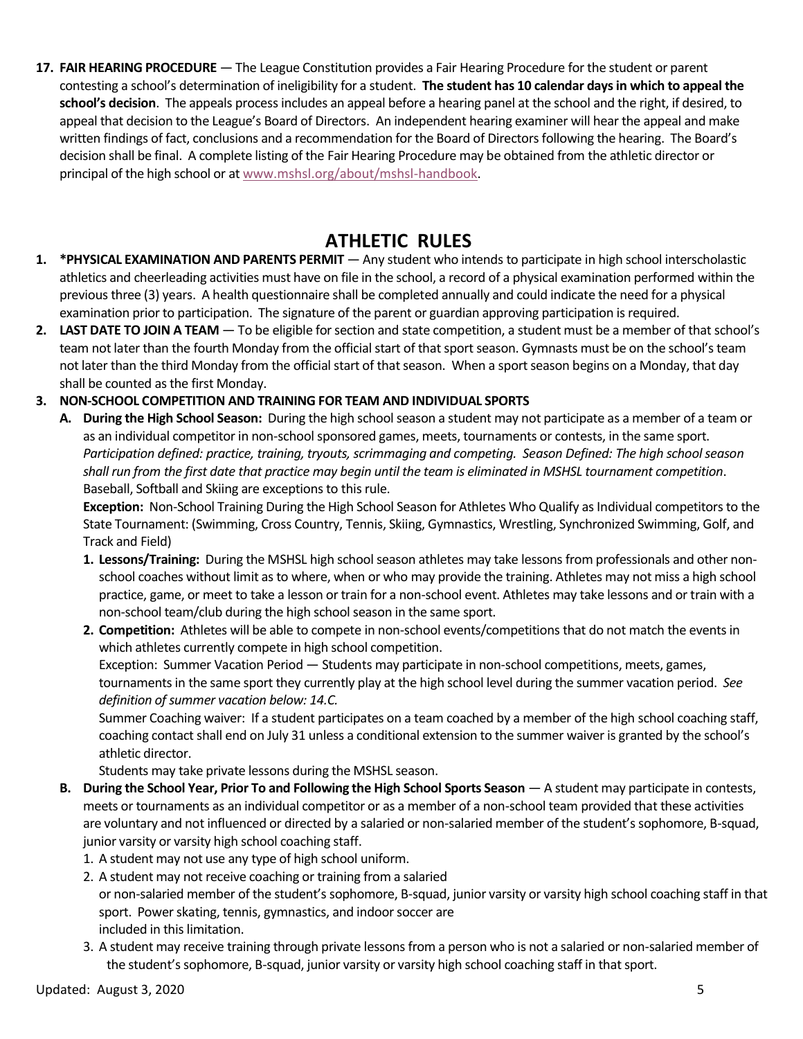**17. FAIR HEARING PROCEDURE** — The League Constitution provides a Fair Hearing Procedure for the student or parent contesting a school's determination of ineligibility for a student. **The student has 10 calendar days in which to appeal the school's decision**. The appeals process includes an appeal before a hearing panel at the school and the right, if desired, to appeal that decision to the League's Board of Directors. An independent hearing examiner will hear the appeal and make written findings of fact, conclusions and a recommendation for the Board of Directors following the hearing. The Board's decision shall be final. A complete listing of the Fair Hearing Procedure may be obtained from the athletic director or principal of the high school or a[t www.mshsl.org/about/mshsl-handbook.](http://www.mshsl.org/about/mshsl-handbook)

## **ATHLETIC RULES**

- **1. \*PHYSICAL EXAMINATION AND PARENTS PERMIT** Any student who intends to participate in high school interscholastic athletics and cheerleading activities must have on file in the school, a record of a physical examination performed within the previous three (3) years. A health questionnaire shall be completed annually and could indicate the need for a physical examination prior to participation. The signature of the parent or guardian approving participation is required.
- **2. LAST DATE TO JOIN A TEAM** To be eligible for section and state competition, a student must be a member of that school's team not later than the fourth Monday from the official start of that sport season. Gymnasts must be on the school's team not later than the third Monday from the official start of that season. When a sport season begins on a Monday, that day shall be counted as the first Monday.

#### **3. NON-SCHOOL COMPETITION AND TRAINING FOR TEAM AND INDIVIDUAL SPORTS**

**A. During the High School Season:** During the high school season a student may not participate as a member of a team or as an individual competitor in non-school sponsored games, meets, tournaments or contests, in the same sport. *Participation defined: practice, training, tryouts, scrimmaging and competing. Season Defined: The high school season shall run from the first date that practice may begin until the team is eliminated in MSHSL tournament competition*. Baseball, Softball and Skiing are exceptions to this rule.

**Exception:** Non-School Training During the High School Season for Athletes Who Qualify as Individual competitors to the State Tournament: (Swimming, Cross Country, Tennis, Skiing, Gymnastics, Wrestling, Synchronized Swimming, Golf, and Track and Field)

- **1. Lessons/Training:** During the MSHSL high school season athletes may take lessons from professionals and other nonschool coaches without limit as to where, when or who may provide the training. Athletes may not miss a high school practice, game, or meet to take a lesson or train for a non-school event. Athletes may take lessons and or train with a non-school team/club during the high school season in the same sport.
- **2. Competition:** Athletes will be able to compete in non-school events/competitions that do not match the events in which athletes currently compete in high school competition.

Exception: Summer Vacation Period — Students may participate in non-school competitions, meets, games, tournaments in the same sport they currently play at the high school level during the summer vacation period. *See definition of summer vacation below: 14.C.*

Summer Coaching waiver: If a student participates on a team coached by a member of the high school coaching staff, coaching contact shall end on July 31 unless a conditional extension to the summer waiver is granted by the school's athletic director.

Students may take private lessons during the MSHSL season.

- **B. During the School Year, Prior To and Following the High School Sports Season** A student may participate in contests, meets or tournaments as an individual competitor or as a member of a non-school team provided that these activities are voluntary and not influenced or directed by a salaried or non-salaried member of the student's sophomore, B-squad, junior varsity or varsity high school coaching staff.
	- 1. A student may not use any type of high school uniform.
	- 2. A student may not receive coaching or training from a salaried or non-salaried member of the student's sophomore, B-squad, junior varsity or varsity high school coaching staff in that sport. Power skating, tennis, gymnastics, and indoor soccer are included in this limitation.
	- 3. A student may receive training through private lessons from a person who is not a salaried or non-salaried member of the student's sophomore, B-squad, junior varsity or varsity high school coaching staff in that sport.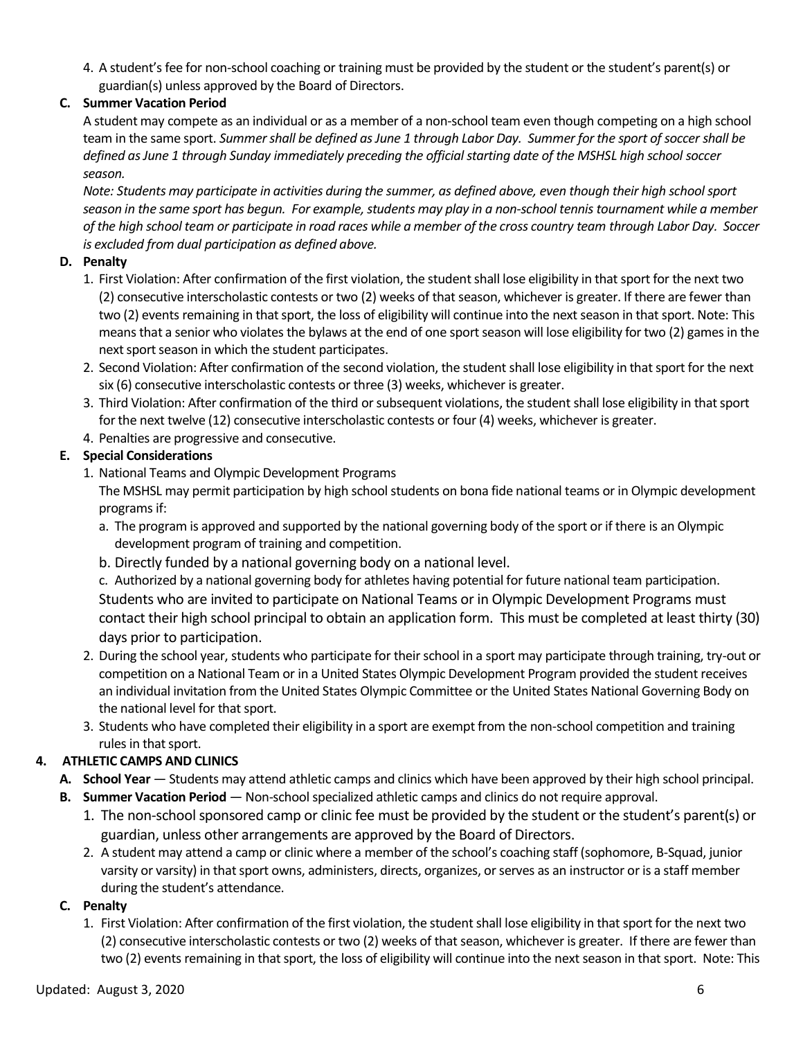4. A student's fee for non-school coaching or training must be provided by the student or the student's parent(s) or guardian(s) unless approved by the Board of Directors.

### **C. Summer Vacation Period**

A student may compete as an individual or as a member of a non-school team even though competing on a high school team in the same sport. *Summer shall be defined as June 1 through Labor Day. Summer for the sport of soccer shall be defined as June 1 through Sunday immediately preceding the official starting date of the MSHSL high school soccer season.* 

*Note: Students may participate in activities during the summer, as defined above, even though their high school sport season in the same sport has begun. For example, students may play in a non-school tennis tournament while a member of the high school team or participate in road races while a member of the cross country team through Labor Day. Soccer is excluded from dual participation as defined above.*

#### **D. Penalty**

- 1. First Violation: After confirmation of the first violation, the student shall lose eligibility in that sport for the next two (2) consecutive interscholastic contests or two (2) weeks of that season, whichever is greater. If there are fewer than two (2) events remaining in that sport, the loss of eligibility will continue into the next season in that sport. Note: This means that a senior who violates the bylaws at the end of one sport season will lose eligibility for two (2) games in the next sport season in which the student participates.
- 2. Second Violation: After confirmation of the second violation, the student shall lose eligibility in that sport for the next six (6) consecutive interscholastic contests or three (3) weeks, whichever is greater.
- 3. Third Violation: After confirmation of the third or subsequent violations, the student shall lose eligibility in that sport for the next twelve (12) consecutive interscholastic contests or four (4) weeks, whichever is greater.
- 4. Penalties are progressive and consecutive.

#### **E. Special Considerations**

- 1. National Teams and Olympic Development Programs The MSHSL may permit participation by high school students on bona fide national teams or in Olympic development programs if:
	- a. The program is approved and supported by the national governing body of the sport or if there is an Olympic development program of training and competition.
	- b. Directly funded by a national governing body on a national level.

c. Authorized by a national governing body for athletes having potential for future national team participation. Students who are invited to participate on National Teams or in Olympic Development Programs must contact their high school principal to obtain an application form. This must be completed at least thirty (30) days prior to participation.

- 2. During the school year, students who participate for their school in a sport may participate through training, try-out or competition on a National Team or in a United States Olympic Development Program provided the student receives an individual invitation from the United States Olympic Committee or the United States National Governing Body on the national level for that sport.
- 3. Students who have completed their eligibility in a sport are exempt from the non-school competition and training rules in that sport.

#### **4. ATHLETIC CAMPS AND CLINICS**

- **A. School Year** Students may attend athletic camps and clinics which have been approved by their high school principal.
- **B. Summer Vacation Period** Non-school specialized athletic camps and clinics do not require approval.
	- 1. The non-school sponsored camp or clinic fee must be provided by the student or the student's parent(s) or guardian, unless other arrangements are approved by the Board of Directors.
	- 2. A student may attend a camp or clinic where a member of the school's coaching staff (sophomore, B-Squad, junior varsity or varsity) in that sport owns, administers, directs, organizes, or serves as an instructor or is a staff member during the student's attendance.

#### **C. Penalty**

1. First Violation: After confirmation of the first violation, the student shall lose eligibility in that sport for the next two (2) consecutive interscholastic contests or two (2) weeks of that season, whichever is greater. If there are fewer than two (2) events remaining in that sport, the loss of eligibility will continue into the next season in that sport. Note: This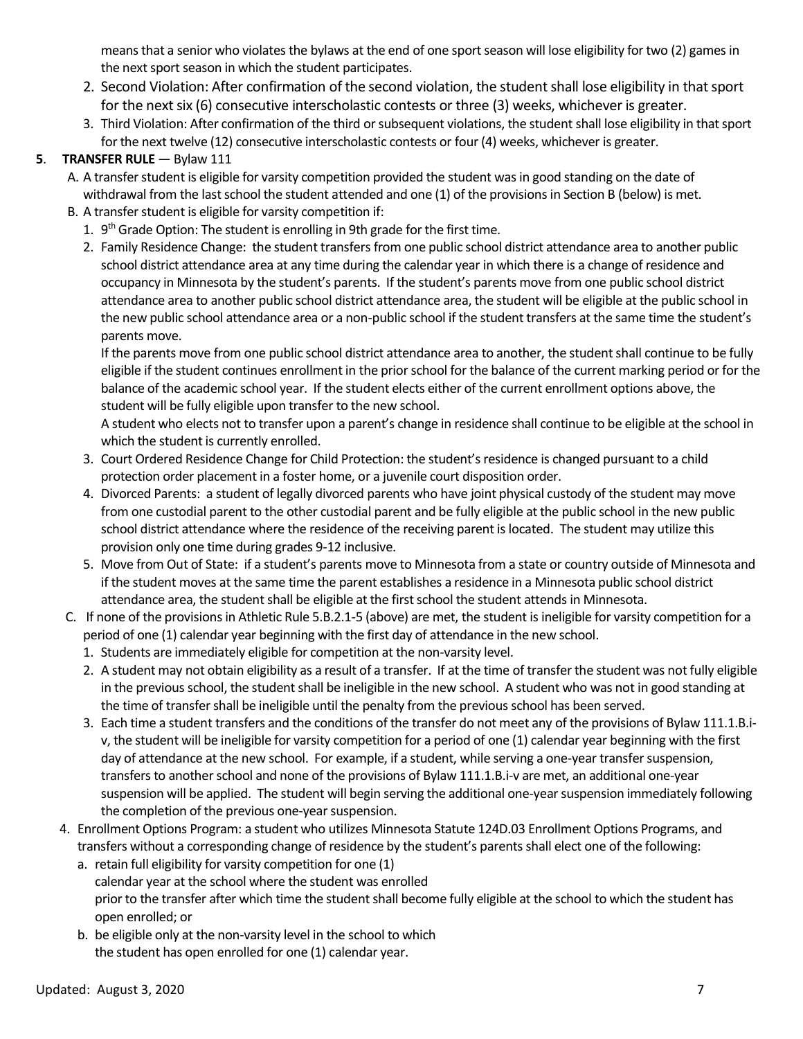means that a senior who violates the bylaws at the end of one sport season will lose eligibility for two (2) games in the next sport season in which the student participates.

- 2. Second Violation: After confirmation of the second violation, the student shall lose eligibility in that sport for the next six (6) consecutive interscholastic contests or three (3) weeks, whichever is greater.
- 3. Third Violation: After confirmation of the third or subsequent violations, the student shall lose eligibility in that sport for the next twelve (12) consecutive interscholastic contests or four (4) weeks, whichever is greater.

### **5**. **TRANSFER RULE** — Bylaw 111

- A. A transfer student is eligible for varsity competition provided the student was in good standing on the date of withdrawal from the last school the student attended and one (1) of the provisions in Section B (below) is met.
- B. A transfer student is eligible for varsity competition if:
	- 1. 9<sup>th</sup> Grade Option: The student is enrolling in 9th grade for the first time.
	- 2. Family Residence Change: the student transfers from one public school district attendance area to another public school district attendance area at any time during the calendar year in which there is a change of residence and occupancy in Minnesota by the student's parents. If the student's parents move from one public school district attendance area to another public school district attendance area, the student will be eligible at the public school in the new public school attendance area or a non-public school if the student transfers at the same time the student's parents move.

If the parents move from one public school district attendance area to another, the student shall continue to be fully eligible if the student continues enrollment in the prior school for the balance of the current marking period or for the balance of the academic school year. If the student elects either of the current enrollment options above, the student will be fully eligible upon transfer to the new school.

A student who elects not to transfer upon a parent's change in residence shall continue to be eligible at the school in which the student is currently enrolled.

- 3. Court Ordered Residence Change for Child Protection: the student's residence is changed pursuant to a child protection order placement in a foster home, or a juvenile court disposition order.
- 4. Divorced Parents: a student of legally divorced parents who have joint physical custody of the student may move from one custodial parent to the other custodial parent and be fully eligible at the public school in the new public school district attendance where the residence of the receiving parent is located. The student may utilize this provision only one time during grades 9-12 inclusive.
- 5. Move from Out of State: if a student's parents move to Minnesota from a state or country outside of Minnesota and if the student moves at the same time the parent establishes a residence in a Minnesota public school district attendance area, the student shall be eligible at the first school the student attends in Minnesota.
- C. If none of the provisions in Athletic Rule 5.B.2.1-5 (above) are met, the student is ineligible for varsity competition for a period of one (1) calendar year beginning with the first day of attendance in the new school.
	- 1. Students are immediately eligible for competition at the non-varsity level.
	- 2. A student may not obtain eligibility as a result of a transfer. If at the time of transfer the student was not fully eligible in the previous school, the student shall be ineligible in the new school. A student who was not in good standing at the time of transfer shall be ineligible until the penalty from the previous school has been served.
	- 3. Each time a student transfers and the conditions of the transfer do not meet any of the provisions of Bylaw 111.1.B.iv, the student will be ineligible for varsity competition for a period of one (1) calendar year beginning with the first day of attendance at the new school. For example, if a student, while serving a one-year transfer suspension, transfers to another school and none of the provisions of Bylaw 111.1.B.i-v are met, an additional one-year suspension will be applied. The student will begin serving the additional one-year suspension immediately following the completion of the previous one-year suspension.
- 4. Enrollment Options Program: a student who utilizes Minnesota Statute 124D.03 Enrollment Options Programs, and transfers without a corresponding change of residence by the student's parents shall elect one of the following:
	- a. retain full eligibility for varsity competition for one (1) calendar year at the school where the student was enrolled prior to the transfer after which time the student shall become fully eligible at the school to which the student has open enrolled; or
	- b. be eligible only at the non-varsity level in the school to which the student has open enrolled for one (1) calendar year.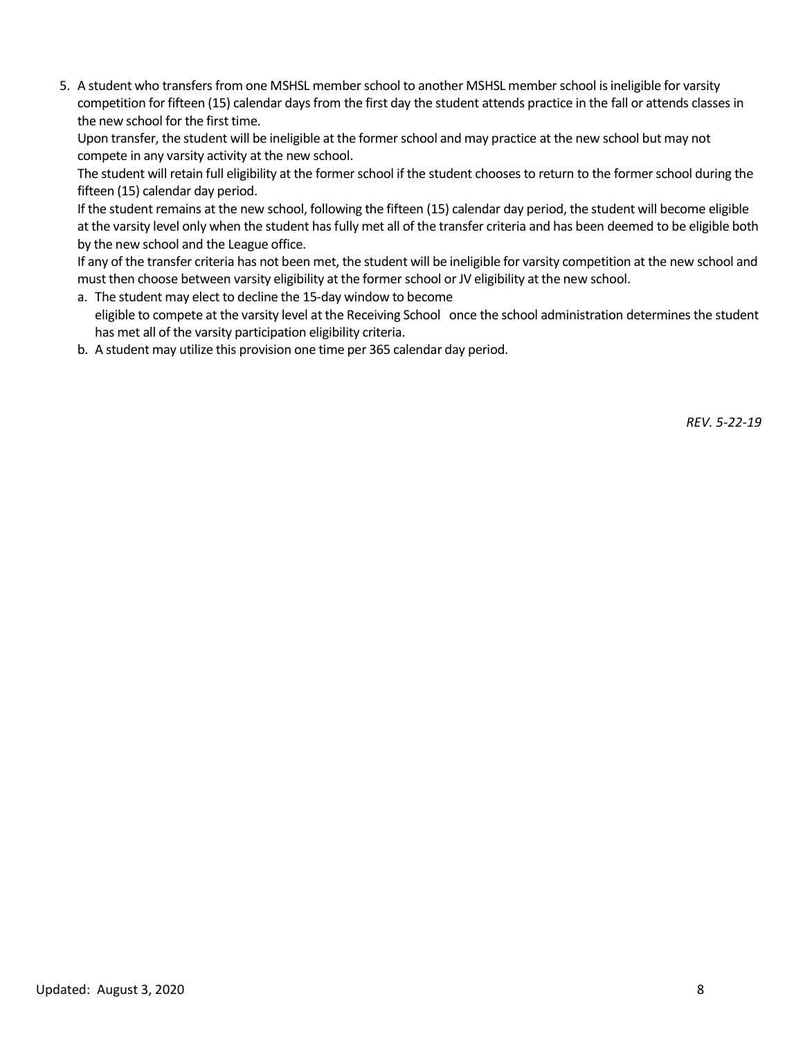5. A student who transfers from one MSHSL member school to another MSHSL member school is ineligible for varsity competition for fifteen (15) calendar days from the first day the student attends practice in the fall or attends classes in the new school for the first time.

Upon transfer, the student will be ineligible at the former school and may practice at the new school but may not compete in any varsity activity at the new school.

The student will retain full eligibility at the former school if the student chooses to return to the former school during the fifteen (15) calendar day period.

If the student remains at the new school, following the fifteen (15) calendar day period, the student will become eligible at the varsity level only when the student has fully met all of the transfer criteria and has been deemed to be eligible both by the new school and the League office.

If any of the transfer criteria has not been met, the student will be ineligible for varsity competition at the new school and must then choose between varsity eligibility at the former school or JV eligibility at the new school.

- a. The student may elect to decline the 15-day window to become eligible to compete at the varsity level at the Receiving School once the school administration determines the student has met all of the varsity participation eligibility criteria.
- b. A student may utilize this provision one time per 365 calendar day period.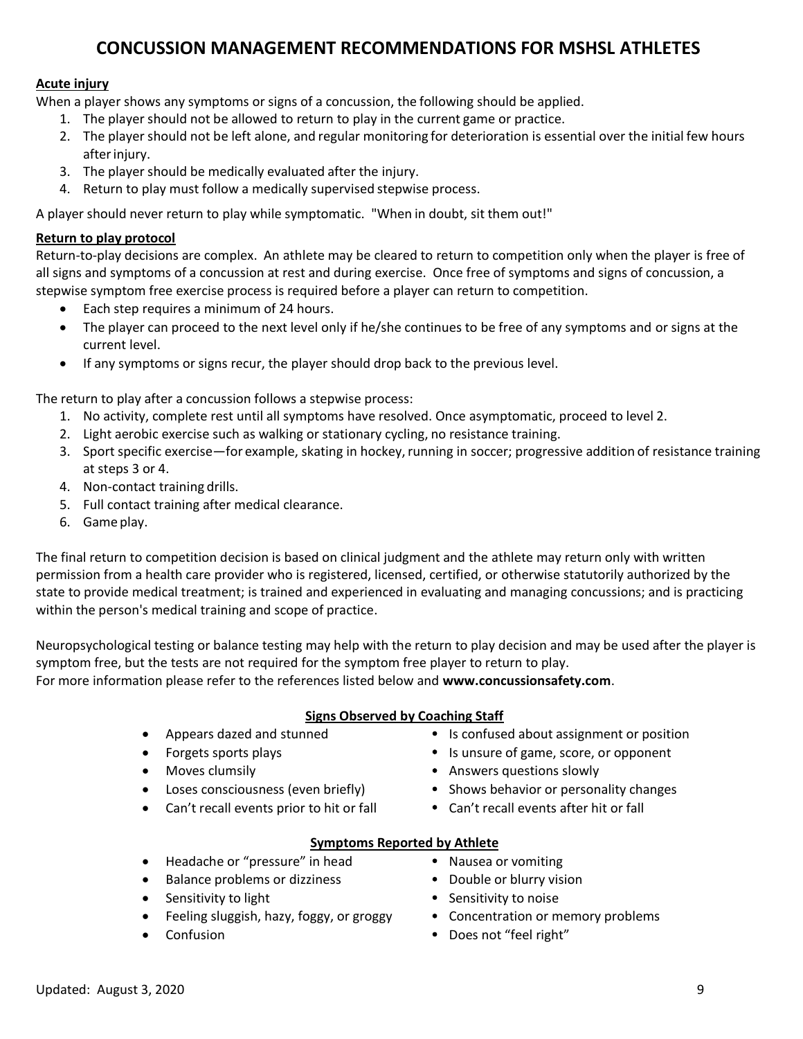## **CONCUSSION MANAGEMENT RECOMMENDATIONS FOR MSHSL ATHLETES**

#### **Acute injury**

When a player shows any symptoms or signs of a concussion, the following should be applied.

- 1. The player should not be allowed to return to play in the current game or practice.
- 2. The player should not be left alone, and regular monitoring for deterioration is essential over the initial few hours afterinjury.
- 3. The player should be medically evaluated after the injury.
- 4. Return to play must follow a medically supervised stepwise process.

A player should never return to play while symptomatic. "When in doubt, sit them out!"

#### **Return to play protocol**

Return-to-play decisions are complex. An athlete may be cleared to return to competition only when the player is free of all signs and symptoms of a concussion at rest and during exercise. Once free of symptoms and signs of concussion, a stepwise symptom free exercise process is required before a player can return to competition.

- Each step requires a minimum of 24 hours.
- The player can proceed to the next level only if he/she continues to be free of any symptoms and or signs at the current level.
- If any symptoms or signs recur, the player should drop back to the previous level.

The return to play after a concussion follows a stepwise process:

- 1. No activity, complete rest until all symptoms have resolved. Once asymptomatic, proceed to level 2.
- 2. Light aerobic exercise such as walking or stationary cycling, no resistance training.
- 3. Sport specific exercise—for example, skating in hockey, running in soccer; progressive addition of resistance training at steps 3 or 4.
- 4. Non-contact training drills.
- 5. Full contact training after medical clearance.
- 6. Game play.

The final return to competition decision is based on clinical judgment and the athlete may return only with written permission from a health care provider who is registered, licensed, certified, or otherwise statutorily authorized by the state to provide medical treatment; is trained and experienced in evaluating and managing concussions; and is practicing within the person's medical training and scope of practice.

Neuropsychological testing or balance testing may help with the return to play decision and may be used after the player is symptom free, but the tests are not required for the symptom free player to return to play.

For more information please refer to the references listed below and **www.concussionsafety.com**.

#### **Signs Observed by Coaching Staff**

- 
- 
- 
- 
- Can't recall events prior to hit or fall Can't recall events after hit or fall
- Appears dazed and stunned **Is confused about assignment or position**
- Forgets sports plays **IS unsure of game, score, or opponent**
- Moves clumsily **Answers questions slowly Answers questions slowly**
- Loses consciousness (even briefly) Shows behavior or personality changes
	-

#### **Symptoms Reported by Athlete**

- Headache or "pressure" in head Nausea or vomiting
- Balance problems or dizziness Double or blurry vision
- Sensitivity to light **Sensitivity to noise** Sensitivity to noise
- Feeling sluggish, hazy, foggy, or groggy Concentration or memory problems
- 
- 
- 
- 
- 
- **Confusion Confusion Confusion Does not "feel right"**
- 
- 
- 
-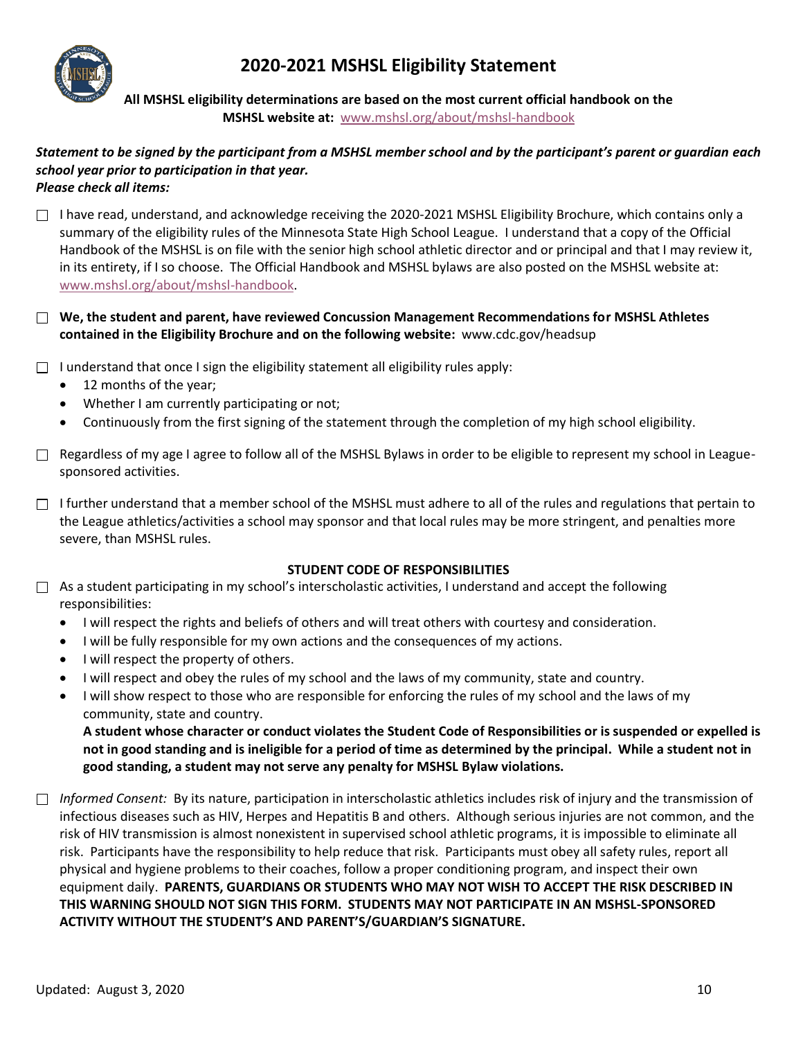**2020-2021 MSHSL Eligibility Statement**



**All MSHSL eligibility determinations are based on the most current official handbook on the MSHSL website at:** [www.mshsl.org/about/mshsl-handbook](http://www.mshsl.org/about/mshsl-handbook)

#### *Statement to be signed by the participant from a MSHSL member school and by the participant's parent or guardian each school year prior to participation in that year. Please check all items:*

 $\Box$  I have read, understand, and acknowledge receiving the 2020-2021 MSHSL Eligibility Brochure, which contains only a summary of the eligibility rules of the Minnesota State High School League. I understand that a copy of the Official Handbook of the MSHSL is on file with the senior high school athletic director and or principal and that I may review it, in its entirety, if I so choose. The Official Handbook and MSHSL bylaws are also posted on the MSHSL website at: [www.mshsl.org/about/mshsl-handbook.](http://www.mshsl.org/about/mshsl-handbook)

**We, the student and parent, have reviewed Concussion Management Recommendations for MSHSL Athletes contained in the Eligibility Brochure and on the following website:** www.cdc.gov/headsup

 $\Box$  I understand that once I sign the eligibility statement all eligibility rules apply:

- 12 months of the year;
- Whether I am currently participating or not;
- Continuously from the first signing of the statement through the completion of my high school eligibility.
- $\Box$  Regardless of my age I agree to follow all of the MSHSL Bylaws in order to be eligible to represent my school in Leaguesponsored activities.
- $\Box$  I further understand that a member school of the MSHSL must adhere to all of the rules and regulations that pertain to the League athletics/activities a school may sponsor and that local rules may be more stringent, and penalties more severe, than MSHSL rules.

#### **STUDENT CODE OF RESPONSIBILITIES**

- $\Box$  As a student participating in my school's interscholastic activities, I understand and accept the following responsibilities:
	- I will respect the rights and beliefs of others and will treat others with courtesy and consideration.
	- I will be fully responsible for my own actions and the consequences of my actions.
	- I will respect the property of others.
	- I will respect and obey the rules of my school and the laws of my community, state and country.
	- I will show respect to those who are responsible for enforcing the rules of my school and the laws of my community, state and country.

**A student whose character or conduct violates the Student Code of Responsibilities or is suspended or expelled is not in good standing and is ineligible for a period of time as determined by the principal. While a student not in good standing, a student may not serve any penalty for MSHSL Bylaw violations.**

*Informed Consent:* By its nature, participation in interscholastic athletics includes risk of injury and the transmission of infectious diseases such as HIV, Herpes and Hepatitis B and others. Although serious injuries are not common, and the risk of HIV transmission is almost nonexistent in supervised school athletic programs, it is impossible to eliminate all risk. Participants have the responsibility to help reduce that risk. Participants must obey all safety rules, report all physical and hygiene problems to their coaches, follow a proper conditioning program, and inspect their own equipment daily. **PARENTS, GUARDIANS OR STUDENTS WHO MAY NOT WISH TO ACCEPT THE RISK DESCRIBED IN THIS WARNING SHOULD NOT SIGN THIS FORM. STUDENTS MAY NOT PARTICIPATE IN AN MSHSL-SPONSORED ACTIVITY WITHOUT THE STUDENT'S AND PARENT'S/GUARDIAN'S SIGNATURE.**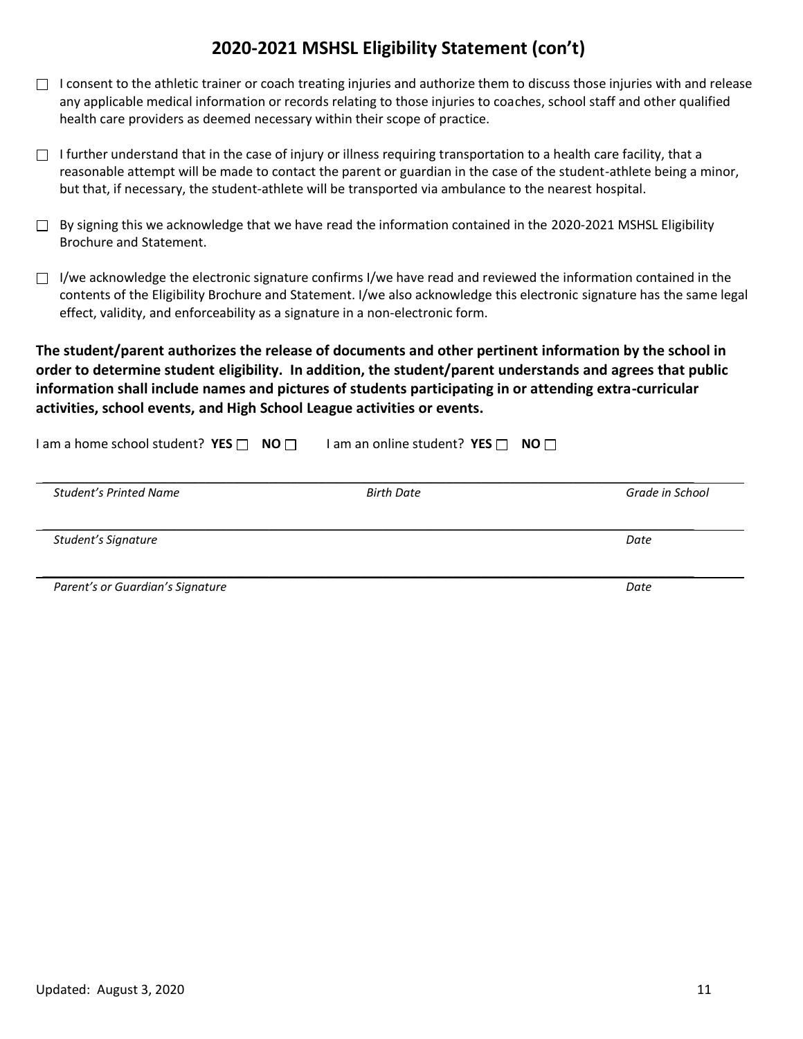## **2020-2021 MSHSL Eligibility Statement (con't)**

- $\Box$  I consent to the athletic trainer or coach treating injuries and authorize them to discuss those injuries with and release any applicable medical information or records relating to those injuries to coaches, school staff and other qualified health care providers as deemed necessary within their scope of practice.
- $\Box$  I further understand that in the case of injury or illness requiring transportation to a health care facility, that a reasonable attempt will be made to contact the parent or guardian in the case of the student-athlete being a minor, but that, if necessary, the student-athlete will be transported via ambulance to the nearest hospital.
- $\Box$  By signing this we acknowledge that we have read the information contained in the 2020-2021 MSHSL Eligibility Brochure and Statement.
- $\Box$  I/we acknowledge the electronic signature confirms I/we have read and reviewed the information contained in the contents of the Eligibility Brochure and Statement. I/we also acknowledge this electronic signature has the same legal effect, validity, and enforceability as a signature in a non-electronic form.

**The student/parent authorizes the release of documents and other pertinent information by the school in order to determine student eligibility. In addition, the student/parent understands and agrees that public information shall include names and pictures of students participating in or attending extra-curricular activities, school events, and High School League activities or events.**

| I am a home school student? $YES \cap NO \cap$ | I am an online student? YES $\Box$ NO $\Box$ |                 |
|------------------------------------------------|----------------------------------------------|-----------------|
| Student's Printed Name                         | <b>Birth Date</b>                            | Grade in School |
| Student's Signature                            |                                              | Date            |
| Parent's or Guardian's Signature               |                                              | Date            |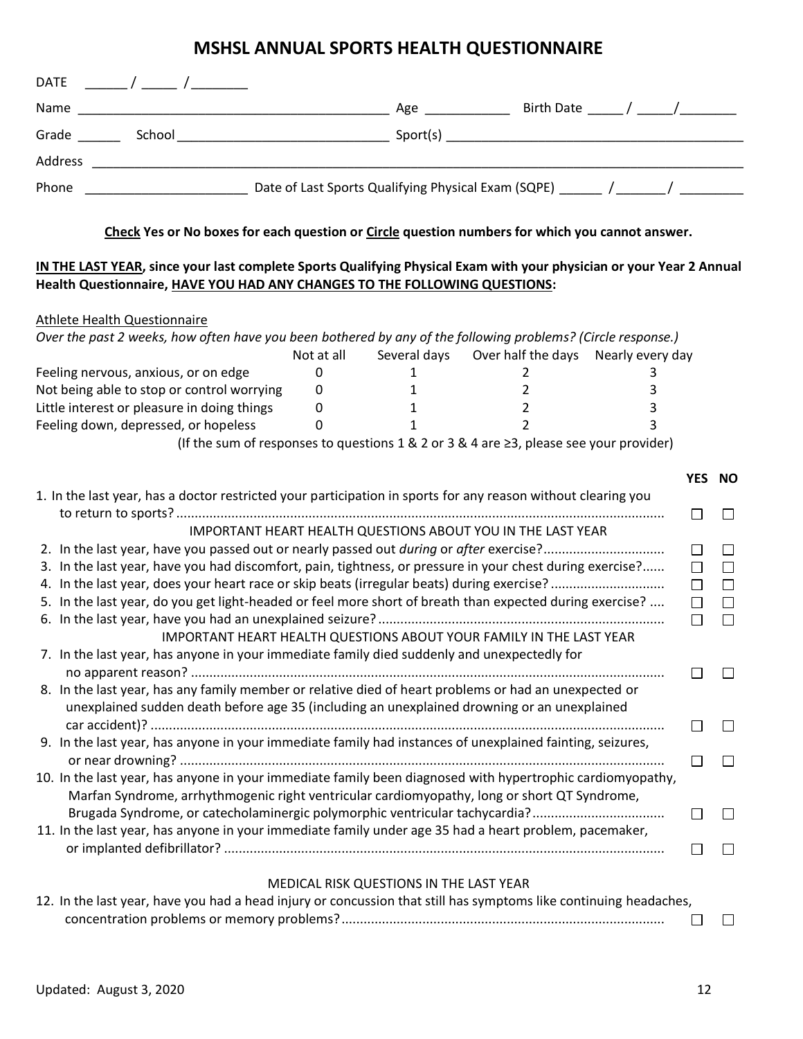## **MSHSL ANNUAL SPORTS HEALTH QUESTIONNAIRE**

| <b>DATE</b> |        |                                                     |  |
|-------------|--------|-----------------------------------------------------|--|
| Name        |        | Birth Date _______ / ______/ _________<br>Age       |  |
| Grade       | School | Sport(s)                                            |  |
| Address     |        |                                                     |  |
| Phone       |        | Date of Last Sports Qualifying Physical Exam (SQPE) |  |

**Check Yes or No boxes for each question or Circle question numbers for which you cannot answer.**

#### **IN THE LAST YEAR, since your last complete Sports Qualifying Physical Exam with your physician or your Year 2 Annual Health Questionnaire, HAVE YOU HAD ANY CHANGES TO THE FOLLOWING QUESTIONS:**

#### Athlete Health Questionnaire *Over the past 2 weeks, how often have you been bothered by any of the following problems? (Circle response.)* Not at all Several days Over half the days Nearly every day Feeling nervous, anxious, or on edge  $\begin{array}{cccc} 0 & 1 & 2 & 3 \end{array}$ Not being able to stop or control worrying 0 1 2 3 3 Little interest or pleasure in doing things  $\begin{array}{ccc} 0 & 1 & 2 & 3 \end{array}$ Feeling down, depressed, or hopeless 0 1 3 3 (If the sum of responses to questions 1 & 2 or 3 & 4 are  $\geq$ 3, please see your provider) **YES NO** 1. In the last year, has a doctor restricted your participation in sports for any reason without clearing you to return to sports? .....................................................................................................................................  $\Box$  $\Box$ IMPORTANT HEART HEALTH QUESTIONS ABOUT YOU IN THE LAST YEAR 2. In the last year, have you passed out or nearly passed out *during* or *after* exercise?.................................  $\Box$  $\Box$ 3. In the last year, have you had discomfort, pain, tightness, or pressure in your chest during exercise?......  $\Box$  $\Box$ 4. In the last year, does your heart race or skip beats (irregular beats) during exercise? ...............................  $\Box$  $\Box$ 5. In the last year, do you get light-headed or feel more short of breath than expected during exercise? ....  $\Box$  $\Box$ 6. In the last year, have you had an unexplained seizure? ..............................................................................  $\Box$  $\Box$ IMPORTANT HEART HEALTH QUESTIONS ABOUT YOUR FAMILY IN THE LAST YEAR 7. In the last year, has anyone in your immediate family died suddenly and unexpectedly for no apparent reason? .................................................................................................................................  $\Box$  $\Box$ 8. In the last year, has any family member or relative died of heart problems or had an unexpected or unexplained sudden death before age 35 (including an unexplained drowning or an unexplained car accident)? ............................................................................................................................................  $\Box$  $\Box$ 9. In the last year, has anyone in your immediate family had instances of unexplained fainting, seizures, or near drowning? ....................................................................................................................................  $\Box$  $\Box$ 10. In the last year, has anyone in your immediate family been diagnosed with hypertrophic cardiomyopathy, Marfan Syndrome, arrhythmogenic right ventricular cardiomyopathy, long or short QT Syndrome, Brugada Syndrome, or catecholaminergic polymorphic ventricular tachycardia?....................................  $\Box$  $\Box$ 11. In the last year, has anyone in your immediate family under age 35 had a heart problem, pacemaker, or implanted defibrillator? ........................................................................................................................  $\Box$  $\Box$ MEDICAL RISK QUESTIONS IN THE LAST YEAR

| 12. In the last year, have you had a head injury or concussion that still has symptoms like continuing headaches, |        |  |
|-------------------------------------------------------------------------------------------------------------------|--------|--|
|                                                                                                                   | $\Box$ |  |